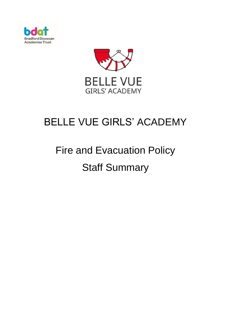



## BELLE VUE GIRLS' ACADEMY

# Fire and Evacuation Policy Staff Summary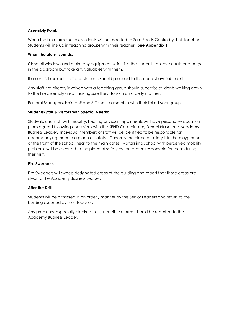#### **Assembly Point:**

When the fire alarm sounds, students will be escorted to Zara Sports Centre by their teacher. Students will line up in teaching groups with their teacher. **See Appendix 1**

#### **When the alarm sounds:**

Close all windows and make any equipment safe. Tell the students to leave coats and bags in the classroom but take any valuables with them.

If an exit is blocked, staff and students should proceed to the nearest available exit.

Any staff not directly involved with a teaching group should supervise students walking down to the fire assembly area, making sure they do so in an orderly manner.

Pastoral Managers, HoY, HoF and SLT should assemble with their linked year group.

#### **Students/Staff & Visitors with Special Needs:**

Students and staff with mobility, hearing or visual impairments will have personal evacuation plans agreed following discussions with the SEND Co-ordinator, School Nurse and Academy Business Leader. Individual members of staff will be identified to be responsible for accompanying them to a place of safety. Currently the place of safety is in the playground, at the front of the school, near to the main gates. Visitors into school with perceived mobility problems will be escorted to the place of safety by the person responsible for them during their visit.

#### **Fire Sweepers:**

Fire Sweepers will sweep designated areas of the building and report that those areas are clear to the Academy Business Leader.

#### **After the Drill:**

Students will be dismissed in an orderly manner by the Senior Leaders and return to the building escorted by their teacher.

Any problems, especially blocked exits, inaudible alarms, should be reported to the Academy Business Leader.